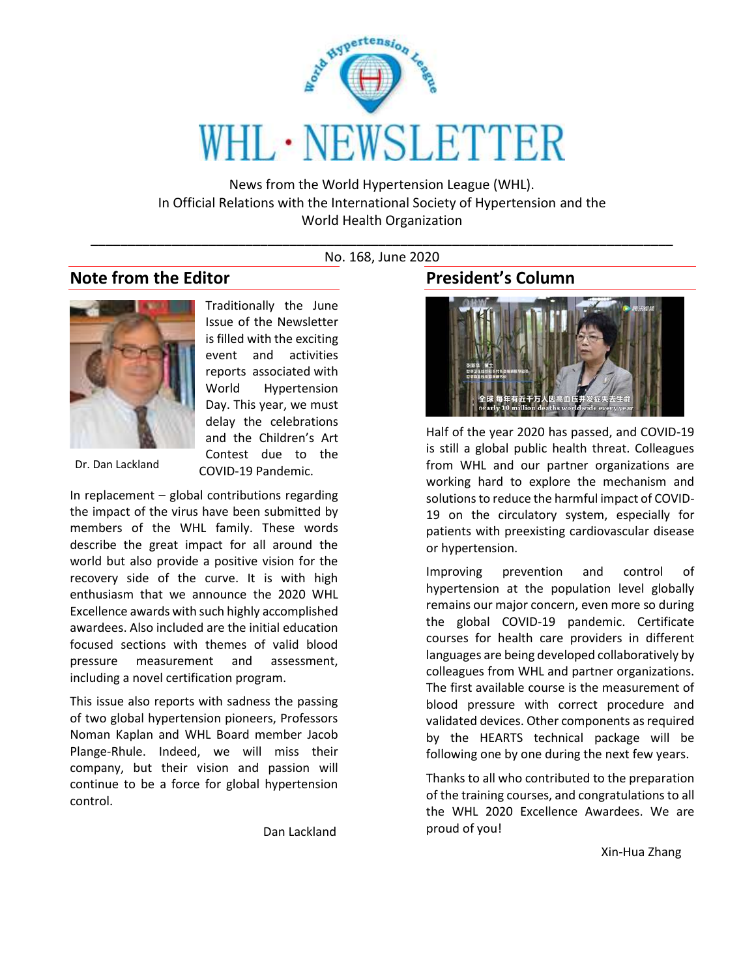

News from the World Hypertension League (WHL). In Official Relations with the International Society of Hypertension and the World Health Organization

\_\_\_\_\_\_\_\_\_\_\_\_\_\_\_\_\_\_\_\_\_\_\_\_\_\_\_\_\_\_\_\_\_\_\_\_\_\_\_\_\_\_\_\_\_\_\_\_\_\_\_\_\_\_\_\_\_\_\_\_\_\_\_\_\_\_\_\_\_\_\_\_\_\_\_\_\_\_\_ No. 168, June 2020

## **Note from the Editor**



Traditionally the June Issue of the Newsletter is filled with the exciting event and activities reports associated with World Hypertension Day. This year, we must delay the celebrations and the Children's Art Contest due to the COVID-19 Pandemic.

Dr. Dan Lackland

In replacement – global contributions regarding the impact of the virus have been submitted by members of the WHL family. These words describe the great impact for all around the world but also provide a positive vision for the recovery side of the curve. It is with high enthusiasm that we announce the 2020 WHL Excellence awards with such highly accomplished awardees. Also included are the initial education focused sections with themes of valid blood pressure measurement and assessment, including a novel certification program.

This issue also reports with sadness the passing of two global hypertension pioneers, Professors Noman Kaplan and WHL Board member Jacob Plange-Rhule. Indeed, we will miss their company, but their vision and passion will continue to be a force for global hypertension control.

Dan Lackland

## **President's Column**



Half of the year 2020 has passed, and COVID-19 is still a global public health threat. Colleagues from WHL and our partner organizations are working hard to explore the mechanism and solutions to reduce the harmful impact of COVID-19 on the circulatory system, especially for patients with preexisting cardiovascular disease or hypertension.

Improving prevention and control of hypertension at the population level globally remains our major concern, even more so during the global COVID-19 pandemic. Certificate courses for health care providers in different languages are being developed collaboratively by colleagues from WHL and partner organizations. The first available course is the measurement of blood pressure with correct procedure and validated devices. Other components as required by the HEARTS technical package will be following one by one during the next few years.

Thanks to all who contributed to the preparation of the training courses, and congratulations to all the WHL 2020 Excellence Awardees. We are proud of you!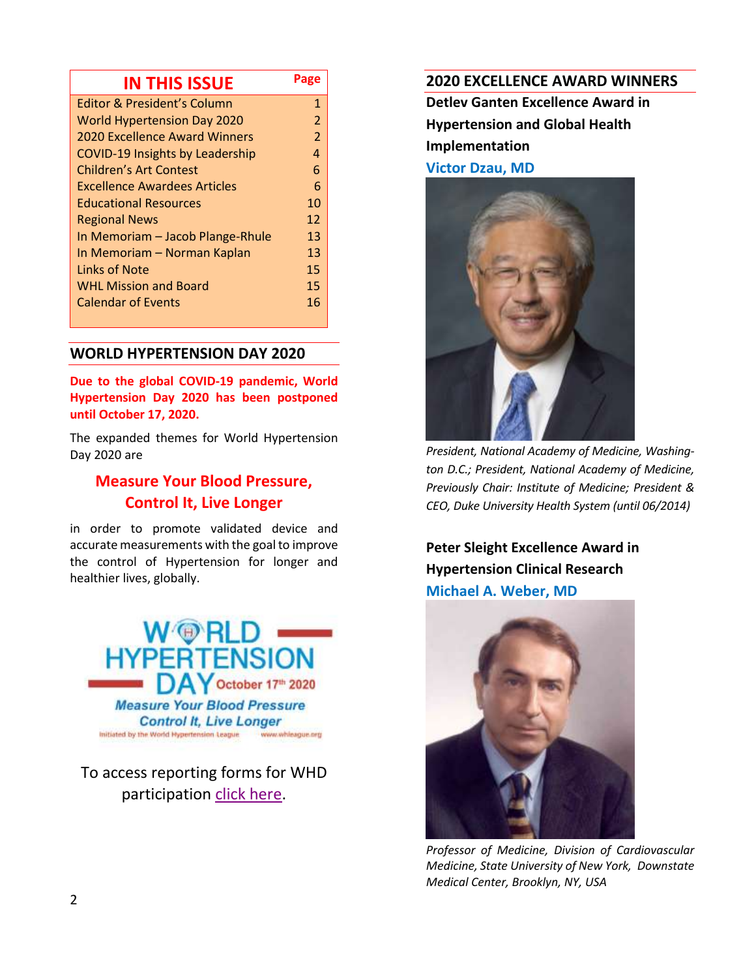| <b>IN THIS ISSUE</b>               | Page           |
|------------------------------------|----------------|
| Editor & President's Column        | 1              |
| <b>World Hypertension Day 2020</b> | $\overline{2}$ |
| 2020 Excellence Award Winners      | $\overline{2}$ |
| COVID-19 Insights by Leadership    | 4              |
| Children's Art Contest             | 6              |
| Excellence Awardees Articles       | 6              |
| <b>Educational Resources</b>       | 10             |
| <b>Regional News</b>               | 12             |
| In Memoriam - Jacob Plange-Rhule   | 13             |
| In Memoriam - Norman Kaplan        | 13             |
| Links of Note                      | 15             |
| <b>WHL Mission and Board</b>       | 15             |
| <b>Calendar of Events</b>          | 16             |
|                                    |                |

#### **WORLD HYPERTENSION DAY 2020**

**Due to the global COVID-19 pandemic, World Hypertension Day 2020 has been postponed until October 17, 2020.** 

The expanded themes for World Hypertension Day 2020 are

## **Measure Your Blood Pressure, Control It, Live Longer**

in order to promote validated device and accurate measurements with the goal to improve the control of Hypertension for longer and healthier lives, globally.



To access reporting forms for WHD participation [click here.](http://www.whleague.org/index.php/features/world-hypertension-day)

#### **2020 EXCELLENCE AWARD WINNERS**

**Detlev Ganten Excellence Award in Hypertension and Global Health Implementation**



*President, National Academy of Medicine, Washington D.C.; President, National Academy of Medicine, Previously Chair: Institute of Medicine; President & CEO, Duke University Health System (until 06/2014)* 

**Peter Sleight Excellence Award in Hypertension Clinical Research Michael A. Weber, MD**



*Professor of Medicine, Division of Cardiovascular Medicine, State University of New York, Downstate Medical Center, Brooklyn, NY, USA*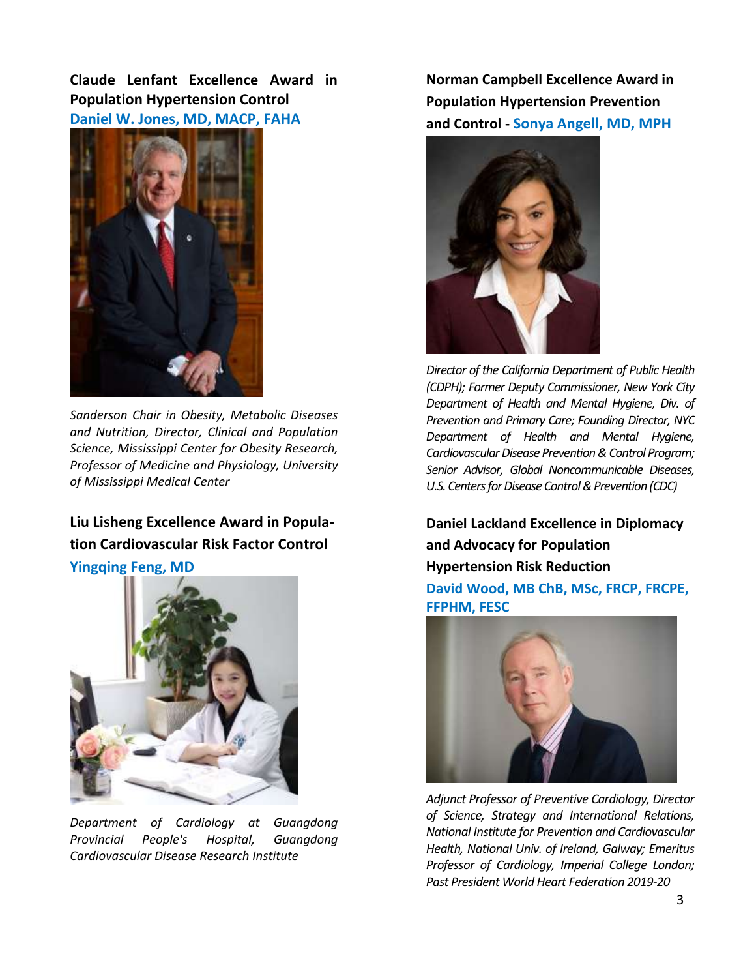**Claude Lenfant Excellence Award in Population Hypertension Control Daniel W. Jones, MD, MACP, FAHA**



*Sanderson Chair in Obesity, Metabolic Diseases and Nutrition, Director, Clinical and Population Science, Mississippi Center for Obesity Research, Professor of Medicine and Physiology, University of Mississippi Medical Center*

# **Liu Lisheng Excellence Award in Population Cardiovascular Risk Factor Control**

**Yingqing Feng, MD**



*Department of Cardiology at Guangdong Provincial People's Hospital, Guangdong Cardiovascular Disease Research Institute*

**Norman Campbell Excellence Award in Population Hypertension Prevention and Control - Sonya Angell, MD, MPH**



*Director of the California Department of Public Health (CDPH); Former Deputy Commissioner, New York City Department of Health and Mental Hygiene, Div. of Prevention and Primary Care; Founding Director, NYC Department of Health and Mental Hygiene, Cardiovascular Disease Prevention &Control Program; Senior Advisor, Global Noncommunicable Diseases, U.S.Centers for Disease Control & Prevention (CDC)*

**Daniel Lackland Excellence in Diplomacy and Advocacy for Population Hypertension Risk Reduction David Wood, MB ChB, MSc, FRCP, FRCPE, FFPHM, FESC**



*Adjunct Professor of Preventive Cardiology, Director of Science, Strategy and International Relations, National Institute for Prevention and Cardiovascular Health, National Univ. of Ireland, Galway; Emeritus Professor of Cardiology, Imperial College London; Past President World Heart Federation 2019-20*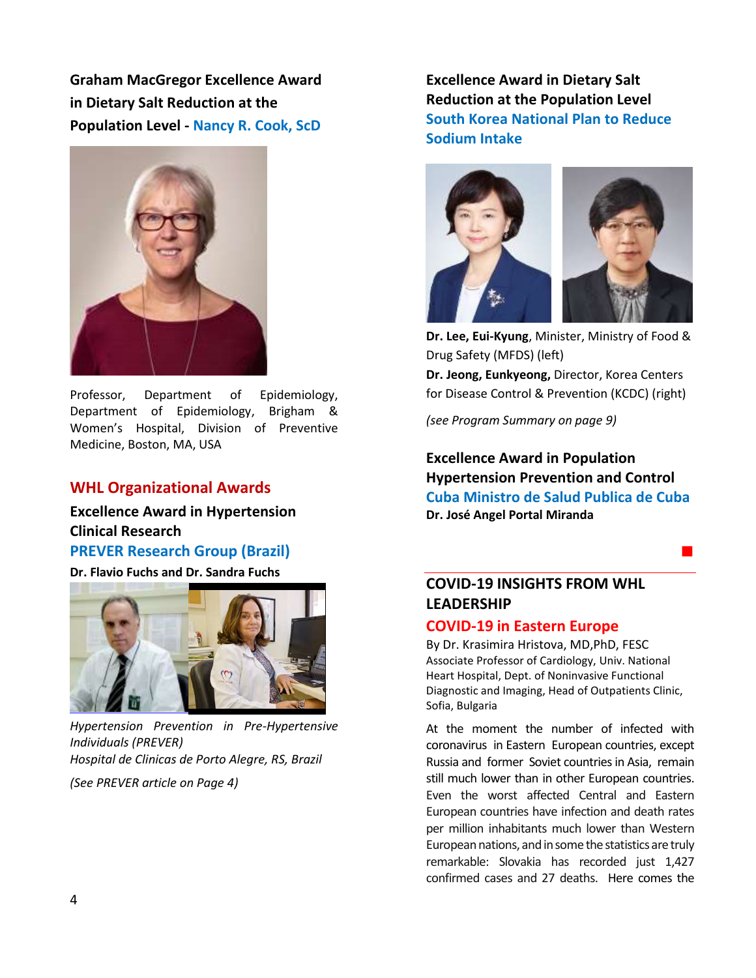**Graham MacGregor Excellence Award in Dietary Salt Reduction at the Population Level - Nancy R. Cook, ScD**



Professor, Department of Epidemiology, Department of Epidemiology, Brigham & Women's Hospital, Division of Preventive Medicine, Boston, MA, USA

## **WHL Organizational Awards**

## **Excellence Award in Hypertension Clinical Research PREVER Research Group (Brazil)**

**Dr. Flavio Fuchs and Dr. Sandra Fuchs**



*Hypertension Prevention in Pre-Hypertensive Individuals (PREVER) Hospital de Clinicas de Porto Alegre, RS, Brazil*

*(See PREVER article on Page 4)*

**Excellence Award in Dietary Salt Reduction at the Population Level South Korea National Plan to Reduce Sodium Intake**



**Dr. Lee, Eui-Kyung**, Minister, Ministry of Food & Drug Safety (MFDS) (left) **Dr. Jeong, Eunkyeong,** Director, Korea Centers for Disease Control & Prevention (KCDC) (right)

*(see Program Summary on page 9)*

**Excellence Award in Population Hypertension Prevention and Control Cuba Ministro de Salud Publica de Cuba Dr. José Angel Portal Miranda**

**Contract Contract District** 



### **COVID-19 in Eastern Europe**

By Dr. Krasimira Hristova, MD,PhD, FESC Associate Professor of Cardiology, Univ. National Heart Hospital, Dept. of Noninvasive Functional Diagnostic and Imaging, Head of Outpatients Clinic, Sofia, Bulgaria

At the moment the number of infected with coronavirus in Eastern [Europea](https://www.theguardian.com/world/europe-news)n countries, except Russia and former Soviet countries in Asia, remain still much lower than in other European countries. Even the worst affected Central and Eastern European countries have infection and death rates per million inhabitants much lower than Western European nations, and in some the statistics are truly remarkable: Slovakia has recorded just 1,427 confirmed cases and 27 deaths. Here comes the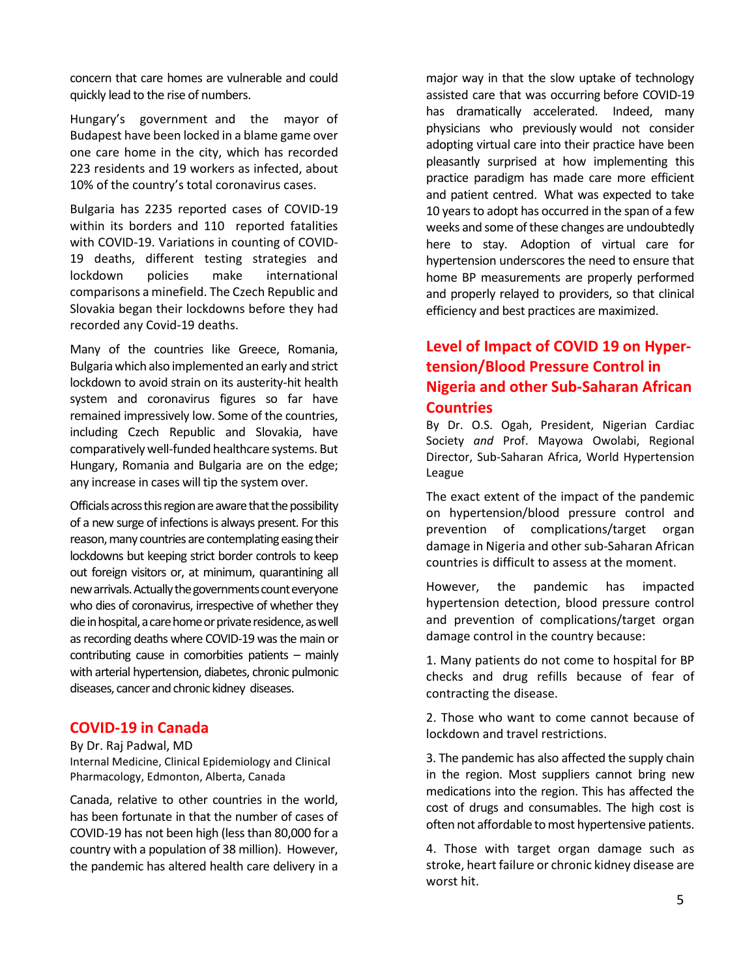concern that care homes are vulnerable and could quickly lead to the rise of numbers.

Hungary's government and the mayor of Budapest have been locked in a blame game over one care home in the city, which has recorded 223 residents and 19 workers as infected, about 10% of the country's total coronavirus cases.

Bulgaria has 2235 reported cases of COVID-19 within its borders and 110 reported fatalities with COVID-19. Variations in counting of COVID-19 deaths, different testing strategies and lockdown policies make international comparisons a minefield. The Czech Republic and Slovakia began their lockdowns before they had recorded any Covid-19 deaths.

Many of the countries like Greece, Romania, Bulgaria which also implemented an early and strict lockdown to avoid strain on its austerity-hit health system and coronavirus figures so far have remained impressively low. Some of the countries, including Czech Republic and Slovakia, have comparatively well-funded healthcare systems. But Hungary, Romania and Bulgaria are on the edge; any increase in cases will tip the system over.

Officials across this region are aware that the possibility of a new surge of infections is always present. For this reason, many countries are contemplating easing their lockdowns but keeping strict border controls to keep out foreign visitors or, at minimum, quarantining all new arrivals. Actually the governments count everyone who dies of coronavirus, irrespective of whether they die in hospital, a care home or private residence, as well as recording deaths where COVID-19 was the main or contributing cause in comorbities patients – mainly with arterial hypertension, diabetes, chronic pulmonic diseases, cancer and chronic kidney diseases.

### **COVID-19 in Canada**

By Dr. Raj Padwal, MD Internal Medicine, Clinical Epidemiology and Clinical Pharmacology, Edmonton, Alberta, Canada

Canada, relative to other countries in the world, has been fortunate in that the number of cases of COVID-19 has not been high (less than 80,000 for a country with a population of 38 million). However, the pandemic has altered health care delivery in a

major way in that the slow uptake of technology assisted care that was occurring before COVID-19 has dramatically accelerated. Indeed, many physicians who previously would not consider adopting virtual care into their practice have been pleasantly surprised at how implementing this practice paradigm has made care more efficient and patient centred. What was expected to take 10 years to adopt has occurred in the span of a few weeks and some of these changes are undoubtedly here to stay. Adoption of virtual care for hypertension underscores the need to ensure that home BP measurements are properly performed and properly relayed to providers, so that clinical efficiency and best practices are maximized.

## **Level of Impact of COVID 19 on Hypertension/Blood Pressure Control in Nigeria and other Sub-Saharan African Countries**

By Dr. O.S. Ogah, President, Nigerian Cardiac Society *and* Prof. Mayowa Owolabi, Regional Director, Sub-Saharan Africa, World Hypertension League

The exact extent of the impact of the pandemic on hypertension/blood pressure control and prevention of complications/target organ damage in Nigeria and other sub-Saharan African countries is difficult to assess at the moment.

However, the pandemic has impacted hypertension detection, blood pressure control and prevention of complications/target organ damage control in the country because:

1. Many patients do not come to hospital for BP checks and drug refills because of fear of contracting the disease.

2. Those who want to come cannot because of lockdown and travel restrictions.

3. The pandemic has also affected the supply chain in the region. Most suppliers cannot bring new medications into the region. This has affected the cost of drugs and consumables. The high cost is often not affordable to most hypertensive patients.

4. Those with target organ damage such as stroke, heart failure or chronic kidney disease are worst hit.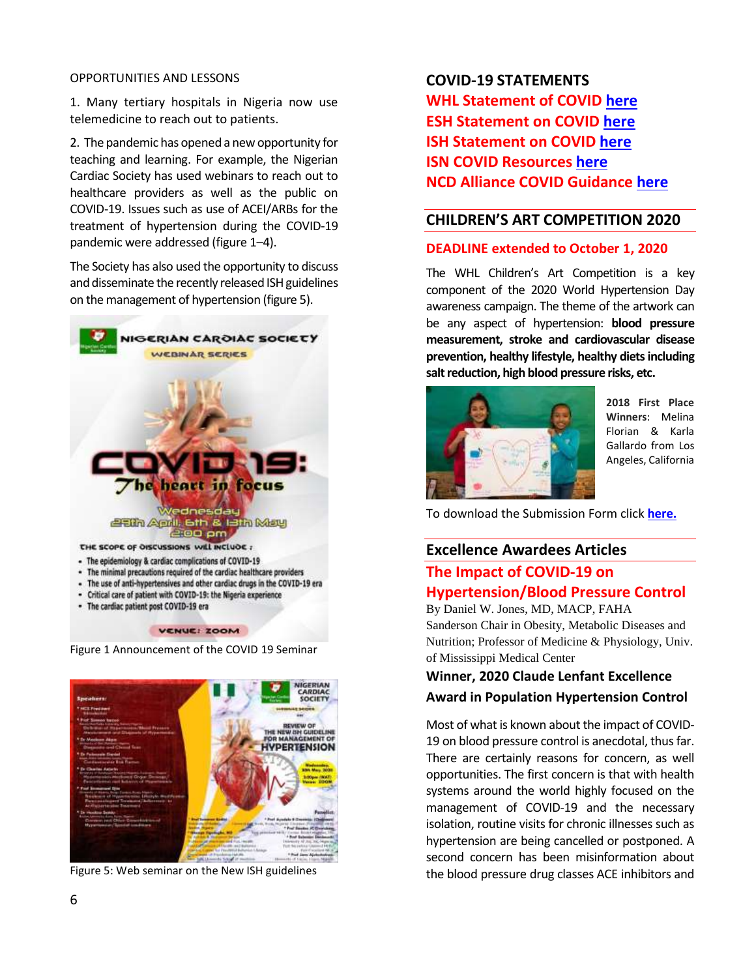#### OPPORTUNITIES AND LESSONS

1. Many tertiary hospitals in Nigeria now use telemedicine to reach out to patients.

2. The pandemic has opened a new opportunity for teaching and learning. For example, the Nigerian Cardiac Society has used webinars to reach out to healthcare providers as well as the public on COVID-19. Issues such as use of ACEI/ARBs for the treatment of hypertension during the COVID-19 pandemic were addressed (figure 1–4).

The Society has also used the opportunity to discuss and disseminate the recently released ISH guidelines on the management of hypertension (figure 5).



- The cardiac patient post COVID-19 era

VENUE: ZOOM

Figure 1 Announcement of the COVID 19 Seminar



Figure 5: Web seminar on the New ISH guidelines

**COVID-19 STATEMENTS WHL Statement of COVID [here](http://www.whleague.org/index.php/2014-07-09-22-47-11/covid-19-hypertension-guidance)  ESH Statement on COVID [here](https://www.eshonline.org/spotlights/esh-stabtement-on-covid-19/) ISH Statement on COVID [here](https://ish-world.com/news/a/A-statement-from-the-International-Society-of-Hypertension-on-COVID-19/) ISN COVID Resources [here](https://www.theisn.org/covid-19) NCD Alliance COVID Guidance [here](https://ncdalliance.org/what-we-do/knowledge-exchange/coronavirus-covid-19-resources-relevant-to-ncds?utm_source=NCD+Alliance+Combined+List&utm_campaign=6132d30a01-Take_Action_Advocacy_Alert_TEST7_22_2016_COPY_01&utm_medium=email&utm_term=0_1750ef6b4b-6132d30a01-64462117)**

#### **CHILDREN'S ART COMPETITION 2020**

#### **DEADLINE extended to October 1, 2020**

The WHL Children's Art Competition is a key component of the 2020 World Hypertension Day awareness campaign. The theme of the artwork can be any aspect of hypertension: **blood pressure measurement, stroke and cardiovascular disease prevention, healthy lifestyle, healthy diets including salt reduction, high blood pressure risks, etc.**



**2018 First Place Winners**: Melina Florian & Karla Gallardo from Los Angeles, California

To download the Submission Form click **[here.](http://www.whleague.org/index.php/news-awards-recognition/art)**

### **Excellence Awardees Articles**

## **The Impact of COVID-19 on Hypertension/Blood Pressure Control**

By Daniel W. Jones, MD, MACP, FAHA Sanderson Chair in Obesity, Metabolic Diseases and Nutrition; Professor of Medicine & Physiology, Univ. of Mississippi Medical Center

## **Winner, 2020 Claude Lenfant Excellence Award in Population Hypertension Control**

Most of what is known about the impact of COVID-19 on blood pressure control is anecdotal, thus far. There are certainly reasons for concern, as well opportunities. The first concern is that with health systems around the world highly focused on the management of COVID-19 and the necessary isolation, routine visits for chronic illnesses such as hypertension are being cancelled or postponed. A second concern has been misinformation about the blood pressure drug classes ACE inhibitors and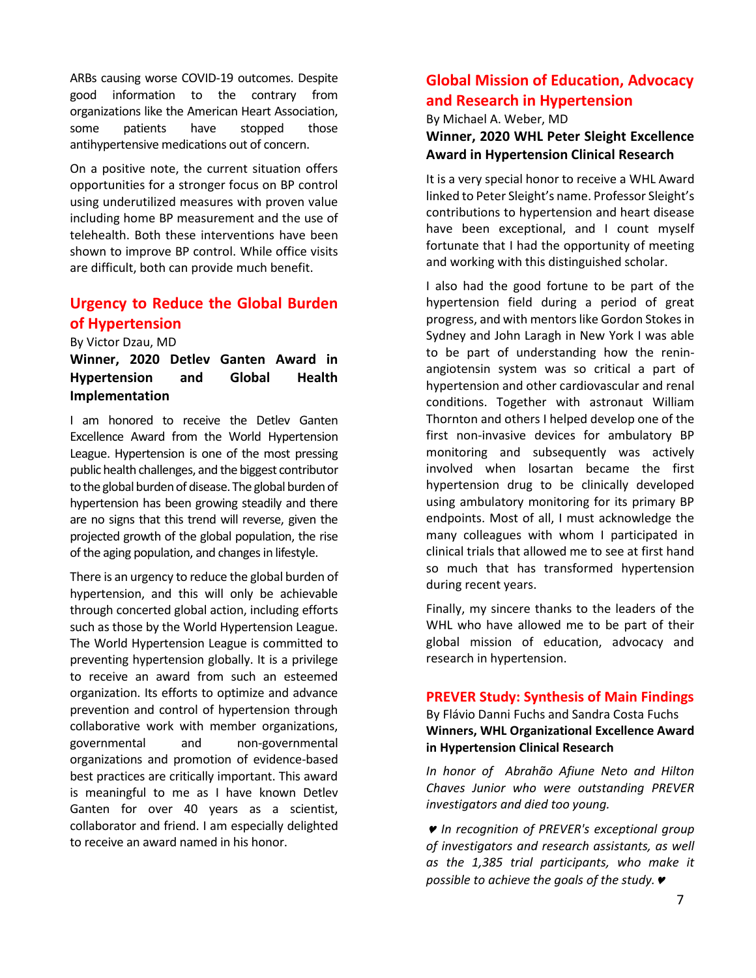ARBs causing worse COVID-19 outcomes. Despite good information to the contrary from organizations like the American Heart Association, some patients have stopped those antihypertensive medications out of concern.

On a positive note, the current situation offers opportunities for a stronger focus on BP control using underutilized measures with proven value including home BP measurement and the use of telehealth. Both these interventions have been shown to improve BP control. While office visits are difficult, both can provide much benefit.

## **Urgency to Reduce the Global Burden of Hypertension**

By Victor Dzau, MD

**Winner, 2020 Detlev Ganten Award in Hypertension and Global Health Implementation**

I am honored to receive the Detlev Ganten Excellence Award from the World Hypertension League. Hypertension is one of the most pressing public health challenges, and the biggest contributor to the global burden of disease. The global burden of hypertension has been growing steadily and there are no signs that this trend will reverse, given the projected growth of the global population, the rise of the aging population, and changes in lifestyle.

There is an urgency to reduce the global burden of hypertension, and this will only be achievable through concerted global action, including efforts such as those by the World Hypertension League. The World Hypertension League is committed to preventing hypertension globally. It is a privilege to receive an award from such an esteemed organization. Its efforts to optimize and advance prevention and control of hypertension through collaborative work with member organizations, governmental and non-governmental organizations and promotion of evidence-based best practices are critically important. This award is meaningful to me as I have known Detlev Ganten for over 40 years as a scientist, collaborator and friend. I am especially delighted to receive an award named in his honor.

## **Global Mission of Education, Advocacy and Research in Hypertension**

#### By Michael A. Weber, MD **Winner, 2020 WHL Peter Sleight Excellence Award in Hypertension Clinical Research**

It is a very special honor to receive a WHL Award linked to Peter Sleight's name. Professor Sleight's contributions to hypertension and heart disease have been exceptional, and I count myself fortunate that I had the opportunity of meeting and working with this distinguished scholar.

I also had the good fortune to be part of the hypertension field during a period of great progress, and with mentors like Gordon Stokes in Sydney and John Laragh in New York I was able to be part of understanding how the reninangiotensin system was so critical a part of hypertension and other cardiovascular and renal conditions. Together with astronaut William Thornton and others I helped develop one of the first non-invasive devices for ambulatory BP monitoring and subsequently was actively involved when losartan became the first hypertension drug to be clinically developed using ambulatory monitoring for its primary BP endpoints. Most of all, I must acknowledge the many colleagues with whom I participated in clinical trials that allowed me to see at first hand so much that has transformed hypertension during recent years.

Finally, my sincere thanks to the leaders of the WHL who have allowed me to be part of their global mission of education, advocacy and research in hypertension.

### **PREVER Study: Synthesis of Main Findings**

By Flávio Danni Fuchs and Sandra Costa Fuchs **Winners, WHL Organizational Excellence Award in Hypertension Clinical Research**

*In honor of Abrahão Afiune Neto and Hilton Chaves Junior who were outstanding PREVER investigators and died too young.*

 *In recognition of PREVER's exceptional group of investigators and research assistants, as well as the 1,385 trial participants, who make it possible to achieve the goals of the study.*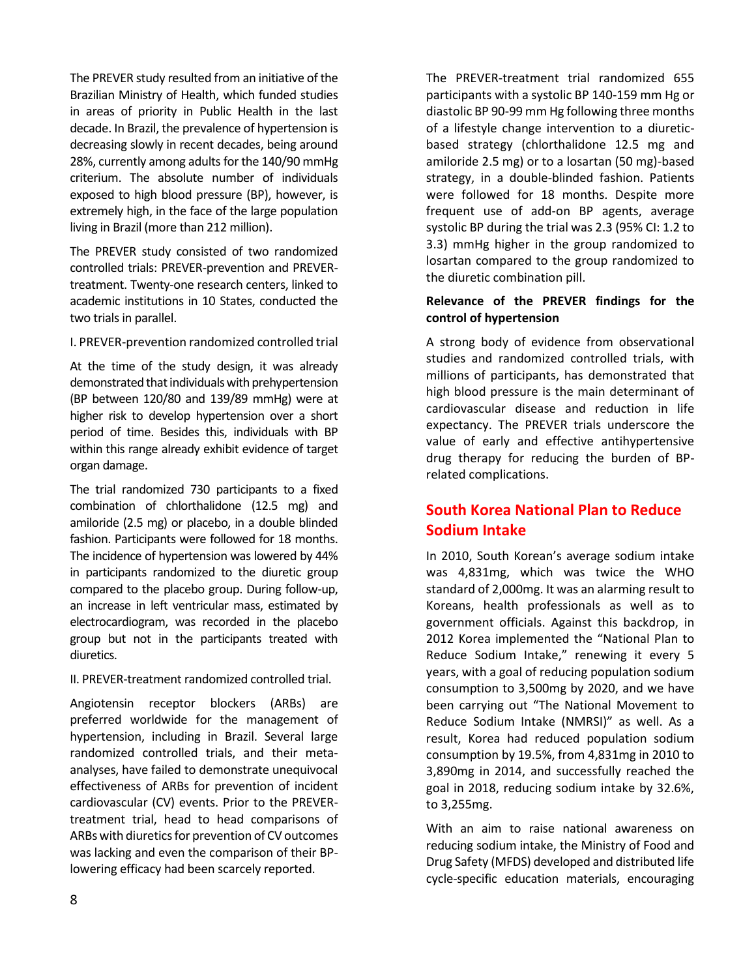The PREVER study resulted from an initiative of the Brazilian Ministry of Health, which funded studies in areas of priority in Public Health in the last decade. In Brazil, the prevalence of hypertension is decreasing slowly in recent decades, being around 28%, currently among adults for the 140/90 mmHg criterium. The absolute number of individuals exposed to high blood pressure (BP), however, is extremely high, in the face of the large population living in Brazil (more than 212 million).

The PREVER study consisted of two randomized controlled trials: PREVER-prevention and PREVERtreatment. Twenty-one research centers, linked to academic institutions in 10 States, conducted the two trials in parallel.

I. PREVER-prevention randomized controlled trial

At the time of the study design, it was already demonstrated that individuals with prehypertension (BP between 120/80 and 139/89 mmHg) were at higher risk to develop hypertension over a short period of time. Besides this, individuals with BP within this range already exhibit evidence of target organ damage.

The trial randomized 730 participants to a fixed combination of chlorthalidone (12.5 mg) and amiloride (2.5 mg) or placebo, in a double blinded fashion. Participants were followed for 18 months. The incidence of hypertension was lowered by 44% in participants randomized to the diuretic group compared to the placebo group. During follow-up, an increase in left ventricular mass, estimated by electrocardiogram, was recorded in the placebo group but not in the participants treated with diuretics.

II. PREVER-treatment randomized controlled trial.

Angiotensin receptor blockers (ARBs) are preferred worldwide for the management of hypertension, including in Brazil. Several large randomized controlled trials, and their metaanalyses, have failed to demonstrate unequivocal effectiveness of ARBs for prevention of incident cardiovascular (CV) events. Prior to the PREVERtreatment trial, head to head comparisons of ARBs with diuretics for prevention of CV outcomes was lacking and even the comparison of their BPlowering efficacy had been scarcely reported.

The PREVER-treatment trial randomized 655 participants with a systolic BP 140-159 mm Hg or diastolic BP 90-99 mm Hg following three months of a lifestyle change intervention to a diureticbased strategy (chlorthalidone 12.5 mg and amiloride 2.5 mg) or to a losartan (50 mg)-based strategy, in a double-blinded fashion. Patients were followed for 18 months. Despite more frequent use of add-on BP agents, average systolic BP during the trial was 2.3 (95% CI: 1.2 to 3.3) mmHg higher in the group randomized to losartan compared to the group randomized to the diuretic combination pill.

#### **Relevance of the PREVER findings for the control of hypertension**

A strong body of evidence from observational studies and randomized controlled trials, with millions of participants, has demonstrated that high blood pressure is the main determinant of cardiovascular disease and reduction in life expectancy. The PREVER trials underscore the value of early and effective antihypertensive drug therapy for reducing the burden of BPrelated complications.

## **South Korea National Plan to Reduce Sodium Intake**

In 2010, South Korean's average sodium intake was 4,831mg, which was twice the WHO standard of 2,000mg. It was an alarming result to Koreans, health professionals as well as to government officials. Against this backdrop, in 2012 Korea implemented the "National Plan to Reduce Sodium Intake," renewing it every 5 years, with a goal of reducing population sodium consumption to 3,500mg by 2020, and we have been carrying out "The National Movement to Reduce Sodium Intake (NMRSI)" as well. As a result, Korea had reduced population sodium consumption by 19.5%, from 4,831mg in 2010 to 3,890mg in 2014, and successfully reached the goal in 2018, reducing sodium intake by 32.6%, to 3,255mg.

With an aim to raise national awareness on reducing sodium intake, the Ministry of Food and Drug Safety (MFDS) developed and distributed life cycle-specific education materials, encouraging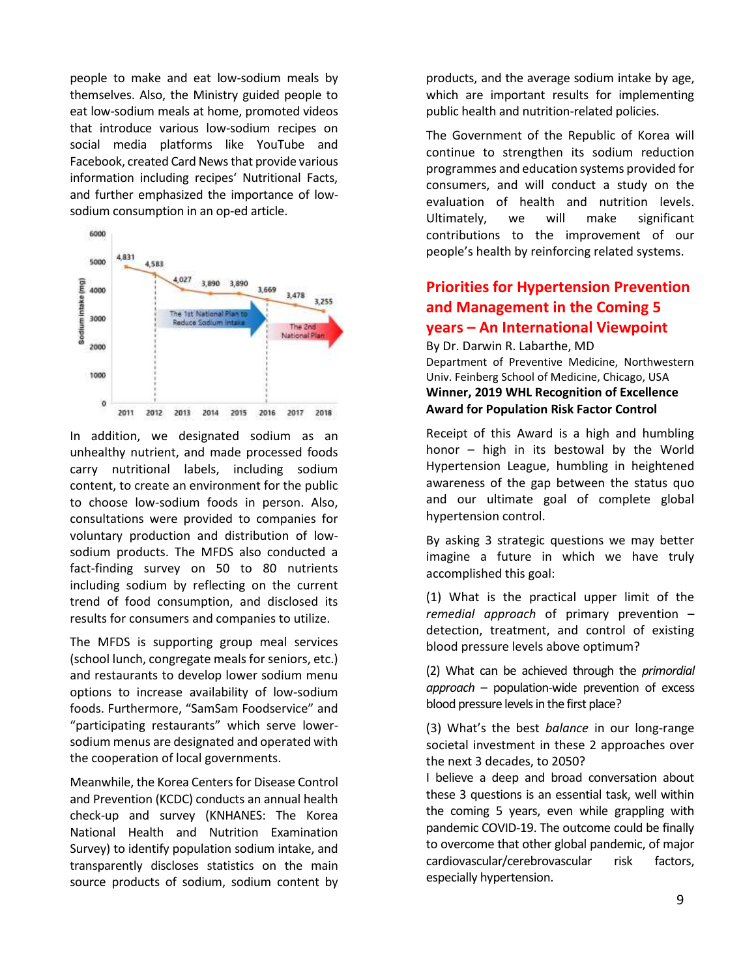people to make and eat low-sodium meals by themselves. Also, the Ministry guided people to eat low-sodium meals at home, promoted videos that introduce various low-sodium recipes on social media platforms like YouTube and Facebook, created Card News that provide various information including recipes' Nutritional Facts, and further emphasized the importance of lowsodium consumption in an op-ed article.



In addition, we designated sodium as an unhealthy nutrient, and made processed foods carry nutritional labels, including sodium content, to create an environment for the public to choose low-sodium foods in person. Also, consultations were provided to companies for voluntary production and distribution of lowsodium products. The MFDS also conducted a fact-finding survey on 50 to 80 nutrients including sodium by reflecting on the current trend of food consumption, and disclosed its results for consumers and companies to utilize.

The MFDS is supporting group meal services (school lunch, congregate meals for seniors, etc.) and restaurants to develop lower sodium menu options to increase availability of low-sodium foods. Furthermore, "SamSam Foodservice" and "participating restaurants" which serve lowersodium menus are designated and operated with the cooperation of local governments.

Meanwhile, the Korea Centers for Disease Control and Prevention (KCDC) conducts an annual health check-up and survey (KNHANES: The Korea National Health and Nutrition Examination Survey) to identify population sodium intake, and transparently discloses statistics on the main source products of sodium, sodium content by

products, and the average sodium intake by age, which are important results for implementing public health and nutrition-related policies.

The Government of the Republic of Korea will continue to strengthen its sodium reduction programmes and education systems provided for consumers, and will conduct a study on the evaluation of health and nutrition levels. Ultimately, we will make significant contributions to the improvement of our people's health by reinforcing related systems.

## **Priorities for Hypertension Prevention and Management in the Coming 5 years – An International Viewpoint**

By Dr. Darwin R. Labarthe, MD Department of Preventive Medicine, Northwestern Univ. Feinberg School of Medicine, Chicago, USA **Winner, 2019 WHL Recognition of Excellence Award for Population Risk Factor Control**

Receipt of this Award is a high and humbling honor – high in its bestowal by the World Hypertension League, humbling in heightened awareness of the gap between the status quo and our ultimate goal of complete global hypertension control.

By asking 3 strategic questions we may better imagine a future in which we have truly accomplished this goal:

(1) What is the practical upper limit of the *remedial approach* of primary prevention – detection, treatment, and control of existing blood pressure levels above optimum?

(2) What can be achieved through the *primordial approach* – population-wide prevention of excess blood pressure levels in the first place?

(3) What's the best *balance* in our long-range societal investment in these 2 approaches over the next 3 decades, to 2050?

I believe a deep and broad conversation about these 3 questions is an essential task, well within the coming 5 years, even while grappling with pandemic COVID-19. The outcome could be finally to overcome that other global pandemic, of major cardiovascular/cerebrovascular risk factors, especially hypertension.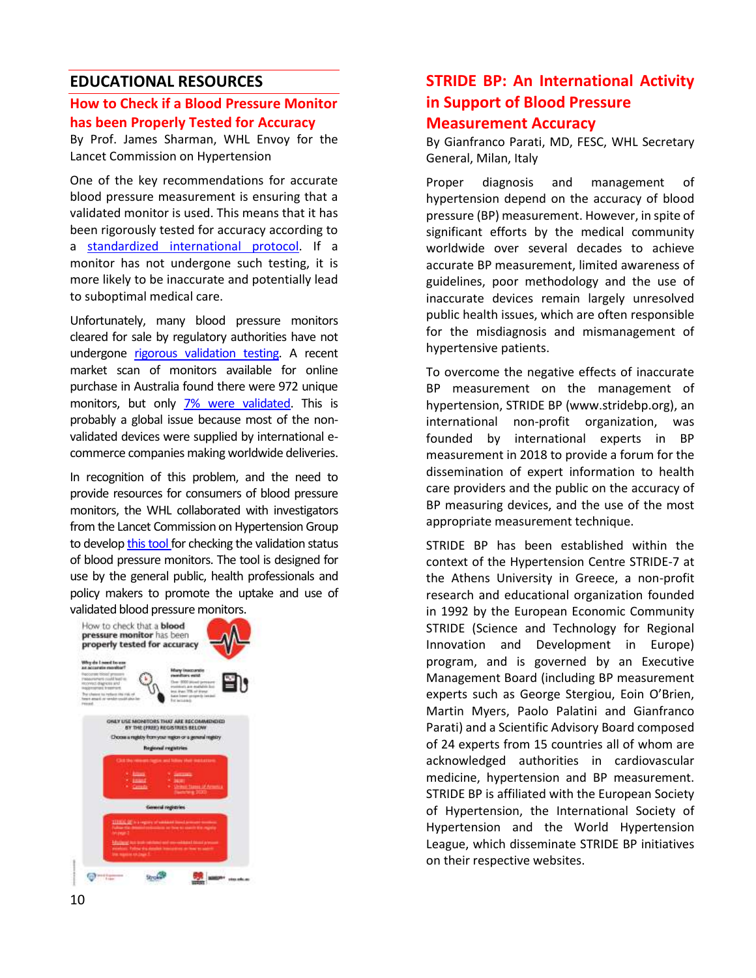## **EDUCATIONAL RESOURCES**

### **How to Check if a Blood Pressure Monitor has been Properly Tested for Accuracy**

By Prof. James Sharman, WHL Envoy for the Lancet Commission on Hypertension

One of the key recommendations for accurate blood pressure measurement is ensuring that a validated monitor is used. This means that it has been rigorously tested for accuracy according to a [standardized international protocol.](https://www.ahajournals.org/doi/full/10.1161/HYPERTENSIONAHA.117.10237?url_ver=Z39.88-2003&rfr_id=ori:rid:crossref.org&rfr_dat=cr_pub%3dpubmed) If a monitor has not undergone such testing, it is more likely to be inaccurate and potentially lead to suboptimal medical care.

Unfortunately, many blood pressure monitors cleared for sale by regulatory authorities have not undergone [rigorous validation testing.](https://www.ncbi.nlm.nih.gov/pmc/articles/PMC6919228/) A recent market scan of monitors available for online purchase in Australia found there were 972 unique monitors, but only [7% were validated.](https://www.ncbi.nlm.nih.gov/pubmed/32275193) This is probably a global issue because most of the nonvalidated devices were supplied by international ecommerce companies making worldwide deliveries.

In recognition of this problem, and the need to provide resources for consumers of blood pressure monitors, the WHL collaborated with investigators from the Lancet Commission on Hypertension Group to develo[p this tool f](https://www.menzies.utas.edu.au/documents/pdfs/Blood-pressure-devices.pdf)or checking the validation status of blood pressure monitors. The tool is designed for use by the general public, health professionals and policy makers to promote the uptake and use of validated blood pressure monitors.



## **STRIDE BP: An International Activity in Support of Blood Pressure Measurement Accuracy**

By Gianfranco Parati, MD, FESC, WHL Secretary General, Milan, Italy

Proper diagnosis and management of hypertension depend on the accuracy of blood pressure (BP) measurement. However, in spite of significant efforts by the medical community worldwide over several decades to achieve accurate BP measurement, limited awareness of guidelines, poor methodology and the use of inaccurate devices remain largely unresolved public health issues, which are often responsible for the misdiagnosis and mismanagement of hypertensive patients.

To overcome the negative effects of inaccurate BP measurement on the management of hypertension, STRIDE BP (www.stridebp.org), an international non-profit organization, was founded by international experts in BP measurement in 2018 to provide a forum for the dissemination of expert information to health care providers and the public on the accuracy of BP measuring devices, and the use of the most appropriate measurement technique.

STRIDE BP has been established within the context of the Hypertension Centre STRIDE-7 at the Athens University in Greece, a non-profit research and educational organization founded in 1992 by the European Economic Community STRIDE (Science and Technology for Regional Innovation and Development in Europe) program, and is governed by an Executive Management Board (including BP measurement experts such as George Stergiou, Eoin O'Brien, Martin Myers, Paolo Palatini and Gianfranco Parati) and a Scientific Advisory Board composed of 24 experts from 15 countries all of whom are acknowledged authorities in cardiovascular medicine, hypertension and BP measurement. STRIDE BP is affiliated with the European Society of Hypertension, the International Society of Hypertension and the World Hypertension League, which disseminate STRIDE BP initiatives on their respective websites.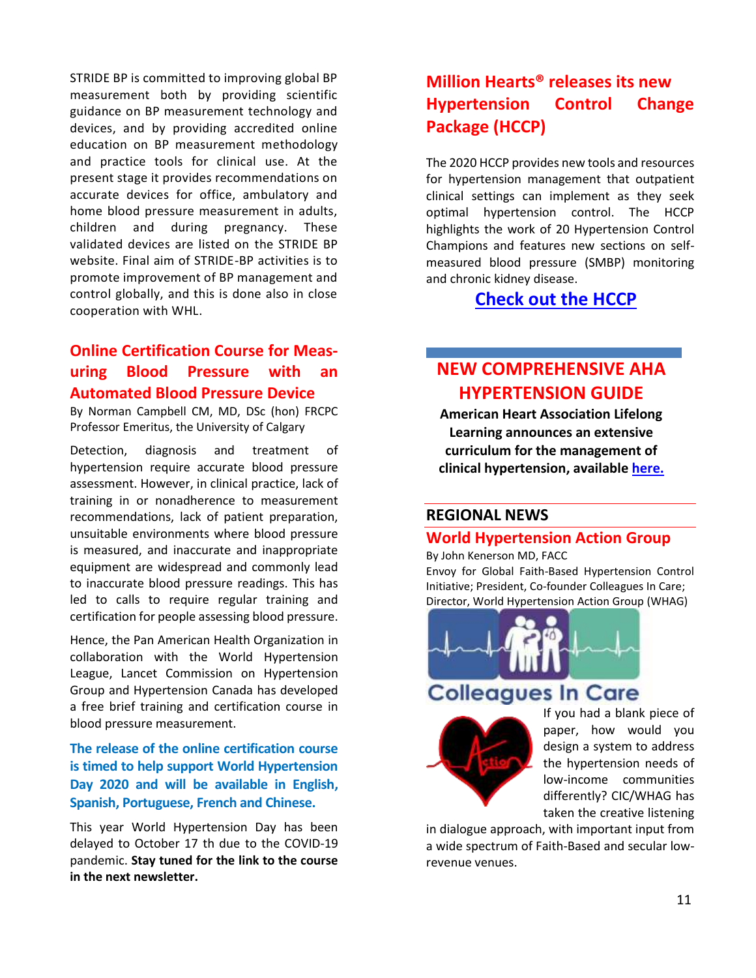STRIDE BP is committed to improving global BP measurement both by providing scientific guidance on BP measurement technology and devices, and by providing accredited online education on BP measurement methodology and practice tools for clinical use. At the present stage it provides recommendations on accurate devices for office, ambulatory and home blood pressure measurement in adults, children and during pregnancy. These validated devices are listed on the STRIDE BP website. Final aim of STRIDE-BP activities is to promote improvement of BP management and control globally, and this is done also in close cooperation with WHL.

## **Online Certification Course for Measuring Blood Pressure with an Automated Blood Pressure Device**

By Norman Campbell CM, MD, DSc (hon) FRCPC Professor Emeritus, the University of Calgary

Detection, diagnosis and treatment of hypertension require accurate blood pressure assessment. However, in clinical practice, lack of training in or nonadherence to measurement recommendations, lack of patient preparation, unsuitable environments where blood pressure is measured, and inaccurate and inappropriate equipment are widespread and commonly lead to inaccurate blood pressure readings. This has led to calls to require regular training and certification for people assessing blood pressure.

Hence, the Pan American Health Organization in collaboration with the World Hypertension League, Lancet Commission on Hypertension Group and Hypertension Canada has developed a free brief training and certification course in blood pressure measurement.

### **The release of the online certification course is timed to help support World Hypertension Day 2020 and will be available in English, Spanish, Portuguese, French and Chinese.**

This year World Hypertension Day has been delayed to October 17 th due to the COVID-19 pandemic. **Stay tuned for the link to the course in the next newsletter.**

# **Million Hearts® releases its new Hypertension Control Change Package (HCCP)**

The 2020 HCCP provides new tools and resources for hypertension management that outpatient clinical settings can implement as they seek optimal hypertension control. The HCCP highlights the work of 20 Hypertension Control Champions and features new sections on selfmeasured blood pressure (SMBP) monitoring and chronic kidney disease.

## **[Check out the HCCP](https://millionhearts.hhs.gov/tools-protocols/action-guides/htn-change-package/index.html?deliveryName=FCP_6_DM31406)**

# **NEW COMPREHENSIVE AHA HYPERTENSION GUIDE**

**American Heart Association Lifelong Learning announces an extensive curriculum for the management of clinical hypertension, available [here.](https://learn.heart.org/lms/activity?@curriculum.id=-1&@activity.id=7086643&@activity.bundleActivityId=-1)**

### **REGIONAL NEWS**

### **World Hypertension Action Group**

By John Kenerson MD, FACC

Envoy for Global Faith-Based Hypertension Control Initiative; President, Co-founder Colleagues In Care; Director, World Hypertension Action Group (WHAG)



# **Colleagues In Care**



If you had a blank piece of paper, how would you design a system to address the hypertension needs of low-income communities differently? CIC/WHAG has taken the creative listening

in dialogue approach, with important input from a wide spectrum of Faith-Based and secular lowrevenue venues.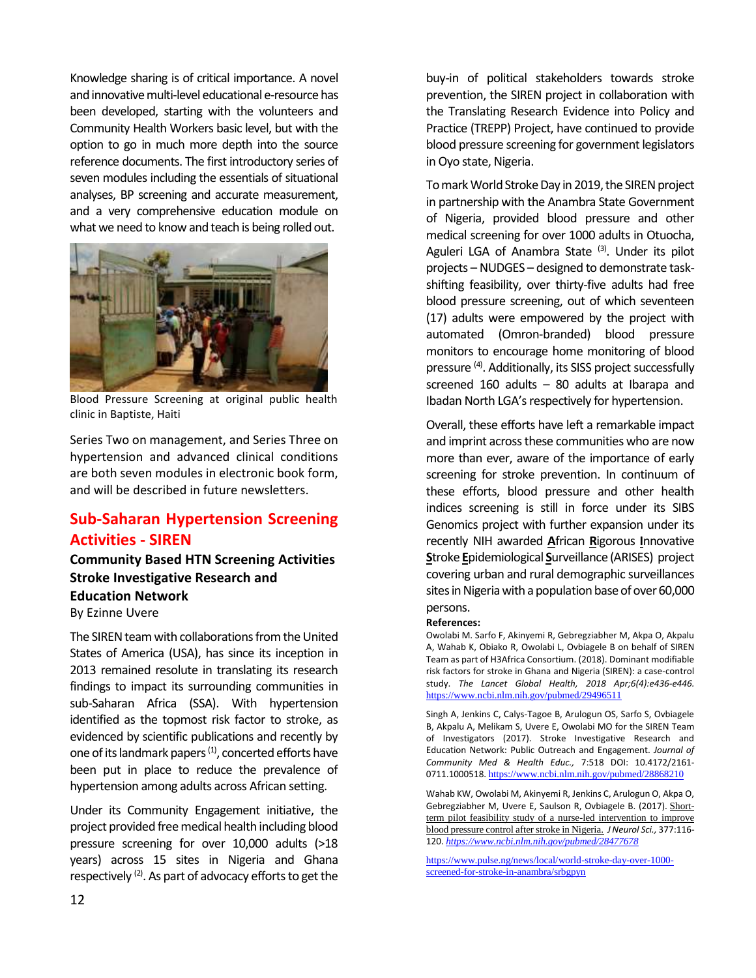Knowledge sharing is of critical importance. A novel and innovative multi-level educational e-resource has been developed, starting with the volunteers and Community Health Workers basic level, but with the option to go in much more depth into the source reference documents. The first introductory series of seven modules including the essentials of situational analyses, BP screening and accurate measurement, and a very comprehensive education module on what we need to know and teach is being rolled out.



Blood Pressure Screening at original public health clinic in Baptiste, Haiti

Series Two on management, and Series Three on hypertension and advanced clinical conditions are both seven modules in electronic book form, and will be described in future newsletters.

## **Sub-Saharan Hypertension Screening Activities - SIREN**

## **Community Based HTN Screening Activities Stroke Investigative Research and Education Network**

By Ezinne Uvere

The SIREN team with collaborations fromthe United States of America (USA), has since its inception in 2013 remained resolute in translating its research findings to impact its surrounding communities in sub-Saharan Africa (SSA). With hypertension identified as the topmost risk factor to stroke, as evidenced by scientific publications and recently by one of its landmark papers <sup>(1)</sup>, concerted efforts have been put in place to reduce the prevalence of hypertension among adults across African setting.

Under its Community Engagement initiative, the project provided free medical health including blood pressure screening for over 10,000 adults (>18 years) across 15 sites in Nigeria and Ghana respectively  $(2)$ . As part of advocacy efforts to get the

buy-in of political stakeholders towards stroke prevention, the SIREN project in collaboration with the Translating Research Evidence into Policy and Practice (TREPP) Project, have continued to provide blood pressure screening for government legislators in Oyo state, Nigeria.

To mark World Stroke Day in 2019, the SIREN project in partnership with the Anambra State Government of Nigeria, provided blood pressure and other medical screening for over 1000 adults in Otuocha, Aguleri LGA of Anambra State  $(3)$ . Under its pilot projects – NUDGES – designed to demonstrate taskshifting feasibility, over thirty-five adults had free blood pressure screening, out of which seventeen (17) adults were empowered by the project with automated (Omron-branded) blood pressure monitors to encourage home monitoring of blood pressure (4). Additionally, its SISS project successfully screened 160 adults – 80 adults at Ibarapa and Ibadan North LGA's respectively for hypertension.

Overall, these efforts have left a remarkable impact and imprint across these communities who are now more than ever, aware of the importance of early screening for stroke prevention. In continuum of these efforts, blood pressure and other health indices screening is still in force under its SIBS Genomics project with further expansion under its recently NIH awarded **A**frican **R**igorous **I**nnovative **S**troke **E**pidemiological **S**urveillance (ARISES) project covering urban and rural demographic surveillances sites in Nigeria with a population base of over 60,000 persons.

#### **References:**

Owolabi M. Sarfo F, Akinyemi R, Gebregziabher M, Akpa O, Akpalu A, Wahab K, Obiako R, Owolabi L, Ovbiagele B on behalf of SIREN Team as part of H3Africa Consortium. (2018). Dominant modifiable risk factors for stroke in Ghana and Nigeria (SIREN): a case-control study. *The Lancet Global Health, 2018 Apr;6(4):e436-e446.*  <https://www.ncbi.nlm.nih.gov/pubmed/29496511>

Singh A, Jenkins C, Calys-Tagoe B, Arulogun OS, Sarfo S, Ovbiagele B, Akpalu A, Melikam S, Uvere E, Owolabi MO for the SIREN Team of Investigators (2017). Stroke Investigative Research and Education Network: Public Outreach and Engagement. *Journal of Community Med & Health Educ.,* 7:518 DOI: 10.4172/2161 0711.1000518. <https://www.ncbi.nlm.nih.gov/pubmed/28868210>

Wahab KW, Owolabi M, Akinyemi R, Jenkins C, Arulogun O, Akpa O, Gebregziabher M, Uvere E, Saulson R, Ovbiagele B. (2017). [Short](https://www.ncbi.nlm.nih.gov/pubmed/28477678)[term pilot feasibility study of a nurse-led intervention to improve](https://www.ncbi.nlm.nih.gov/pubmed/28477678)  [blood pressure control after stroke in Nigeria.](https://www.ncbi.nlm.nih.gov/pubmed/28477678) *J Neurol Sci.,* 377:116- 120. *<https://www.ncbi.nlm.nih.gov/pubmed/28477678>*

[https://www.pulse.ng/news/local/world-stroke-day-over-1000](https://www.pulse.ng/news/local/world-stroke-day-over-1000-screened-for-stroke-in-anambra/srbgpyn) [screened-for-stroke-in-anambra/srbgpyn](https://www.pulse.ng/news/local/world-stroke-day-over-1000-screened-for-stroke-in-anambra/srbgpyn)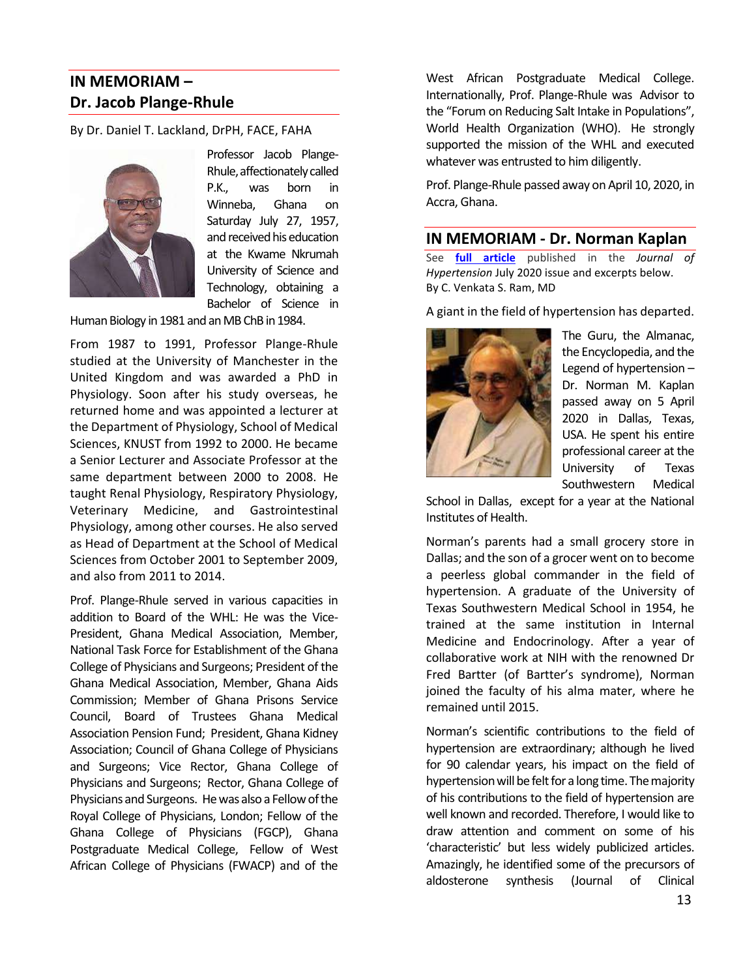## **IN MEMORIAM – Dr. Jacob Plange-Rhule**

By Dr. Daniel T. Lackland, DrPH, FACE, FAHA



Professor Jacob Plange-Rhule, affectionately called P.K., was born in Winneba, Ghana on Saturday July 27, 1957, and received his education at the Kwame Nkrumah University of Science and Technology, obtaining a Bachelor of Science in

Human Biology in 1981 and an MB ChB in 1984.

From 1987 to 1991, Professor Plange-Rhule studied at the University of Manchester in the United Kingdom and was awarded a PhD in Physiology. Soon after his study overseas, he returned home and was appointed a lecturer at the Department of Physiology, School of Medical Sciences, KNUST from 1992 to 2000. He became a Senior Lecturer and Associate Professor at the same department between 2000 to 2008. He taught Renal Physiology, Respiratory Physiology, Veterinary Medicine, and Gastrointestinal Physiology, among other courses. He also served as Head of Department at the School of Medical Sciences from October 2001 to September 2009, and also from 2011 to 2014.

Prof. Plange-Rhule served in various capacities in addition to Board of the WHL: He was the Vice-President, Ghana Medical Association, Member, National Task Force for Establishment of the Ghana College of Physicians and Surgeons; President of the Ghana Medical Association, Member, Ghana Aids Commission; Member of Ghana Prisons Service Council, Board of Trustees Ghana Medical Association Pension Fund; President, Ghana Kidney Association; Council of Ghana College of Physicians and Surgeons; Vice Rector, Ghana College of Physicians and Surgeons; Rector, Ghana College of Physicians and Surgeons. He was also a Fellow of the Royal College of Physicians, London; Fellow of the Ghana College of Physicians (FGCP), Ghana Postgraduate Medical College, Fellow of West African College of Physicians (FWACP) and of the

West African Postgraduate Medical College. Internationally, Prof. Plange-Rhule was Advisor to the "Forum on Reducing Salt Intake in Populations", World Health Organization (WHO). He strongly supported the mission of the WHL and executed whatever was entrusted to him diligently.

Prof. Plange-Rhule passed away on April 10, 2020, in Accra, Ghana.

#### **IN MEMORIAM - Dr. Norman Kaplan**

See **[full article](https://journals.lww.com/jhypertension/Fulltext/2020/07000/In_memoriam__Dr_Norman_M__Kaplan__1931_2020_.30.aspx)** published in the *Journal of Hypertension* July 2020 issue and excerpts below. By C. Venkata S. Ram, MD

A giant in the field of hypertension has departed.



The Guru, the Almanac, the Encyclopedia, and the Legend of hypertension – Dr. Norman M. Kaplan passed away on 5 April 2020 in Dallas, Texas, USA. He spent his entire professional career at the University of Texas Southwestern Medical

School in Dallas, except for a year at the National Institutes of Health.

Norman's parents had a small grocery store in Dallas; and the son of a grocer went on to become a peerless global commander in the field of hypertension. A graduate of the University of Texas Southwestern Medical School in 1954, he trained at the same institution in Internal Medicine and Endocrinology. After a year of collaborative work at NIH with the renowned Dr Fred Bartter (of Bartter's syndrome), Norman joined the faculty of his alma mater, where he remained until 2015.

Norman's scientific contributions to the field of hypertension are extraordinary; although he lived for 90 calendar years, his impact on the field of hypertension will be felt for a long time. The majority of his contributions to the field of hypertension are well known and recorded. Therefore, I would like to draw attention and comment on some of his 'characteristic' but less widely publicized articles. Amazingly, he identified some of the precursors of aldosterone synthesis (Journal of Clinical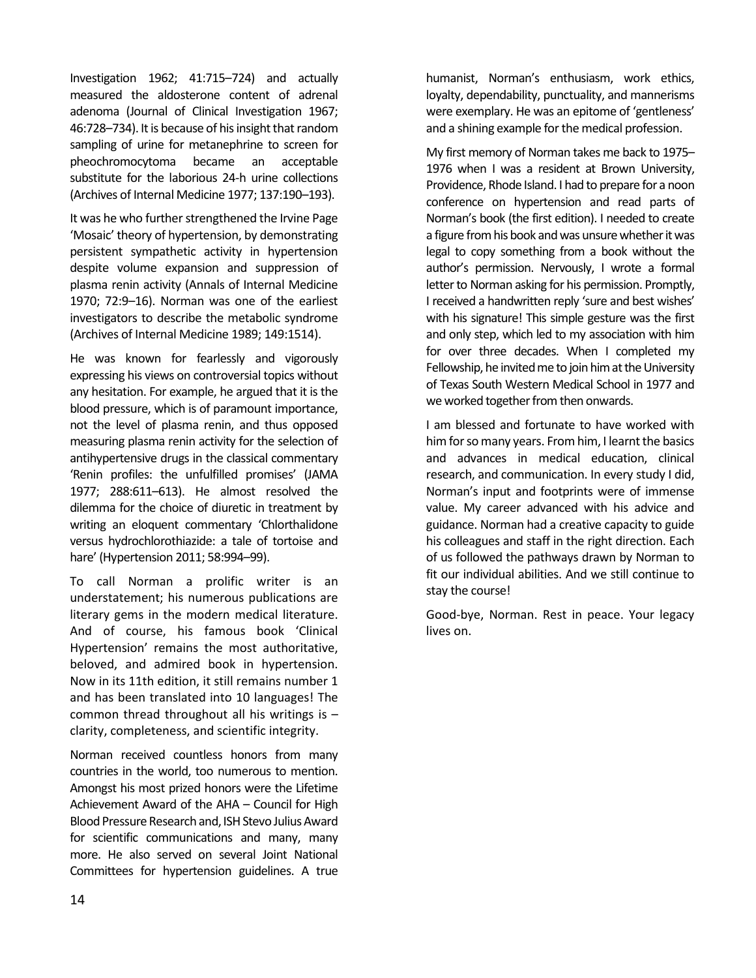Investigation 1962; 41:715–724) and actually measured the aldosterone content of adrenal adenoma (Journal of Clinical Investigation 1967; 46:728–734). It is because of his insight that random sampling of urine for metanephrine to screen for pheochromocytoma became an acceptable substitute for the laborious 24-h urine collections (Archives of Internal Medicine 1977; 137:190–193).

It was he who further strengthened the Irvine Page 'Mosaic' theory of hypertension, by demonstrating persistent sympathetic activity in hypertension despite volume expansion and suppression of plasma renin activity (Annals of Internal Medicine 1970; 72:9–16). Norman was one of the earliest investigators to describe the metabolic syndrome (Archives of Internal Medicine 1989; 149:1514).

He was known for fearlessly and vigorously expressing his views on controversial topics without any hesitation. For example, he argued that it is the blood pressure, which is of paramount importance, not the level of plasma renin, and thus opposed measuring plasma renin activity for the selection of antihypertensive drugs in the classical commentary 'Renin profiles: the unfulfilled promises' (JAMA 1977; 288:611–613). He almost resolved the dilemma for the choice of diuretic in treatment by writing an eloquent commentary 'Chlorthalidone versus hydrochlorothiazide: a tale of tortoise and hare' (Hypertension 2011; 58:994–99).

To call Norman a prolific writer is an understatement; his numerous publications are literary gems in the modern medical literature. And of course, his famous book 'Clinical Hypertension' remains the most authoritative, beloved, and admired book in hypertension. Now in its 11th edition, it still remains number 1 and has been translated into 10 languages! The common thread throughout all his writings is – clarity, completeness, and scientific integrity.

Norman received countless honors from many countries in the world, too numerous to mention. Amongst his most prized honors were the Lifetime Achievement Award of the AHA – Council for High Blood Pressure Research and, ISH Stevo Julius Award for scientific communications and many, many more. He also served on several Joint National Committees for hypertension guidelines. A true humanist, Norman's enthusiasm, work ethics, loyalty, dependability, punctuality, and mannerisms were exemplary. He was an epitome of 'gentleness' and a shining example for the medical profession.

My first memory of Norman takes me back to 1975– 1976 when I was a resident at Brown University, Providence, Rhode Island. I had to prepare for a noon conference on hypertension and read parts of Norman's book (the first edition). I needed to create a figure from his book and was unsure whether it was legal to copy something from a book without the author's permission. Nervously, I wrote a formal letter to Norman asking for his permission. Promptly, I received a handwritten reply 'sure and best wishes' with his signature! This simple gesture was the first and only step, which led to my association with him for over three decades. When I completed my Fellowship, he invited me to join him at the University of Texas South Western Medical School in 1977 and we worked together from then onwards.

I am blessed and fortunate to have worked with him for so many years. From him, I learnt the basics and advances in medical education, clinical research, and communication. In every study I did, Norman's input and footprints were of immense value. My career advanced with his advice and guidance. Norman had a creative capacity to guide his colleagues and staff in the right direction. Each of us followed the pathways drawn by Norman to fit our individual abilities. And we still continue to stay the course!

Good-bye, Norman. Rest in peace. Your legacy lives on.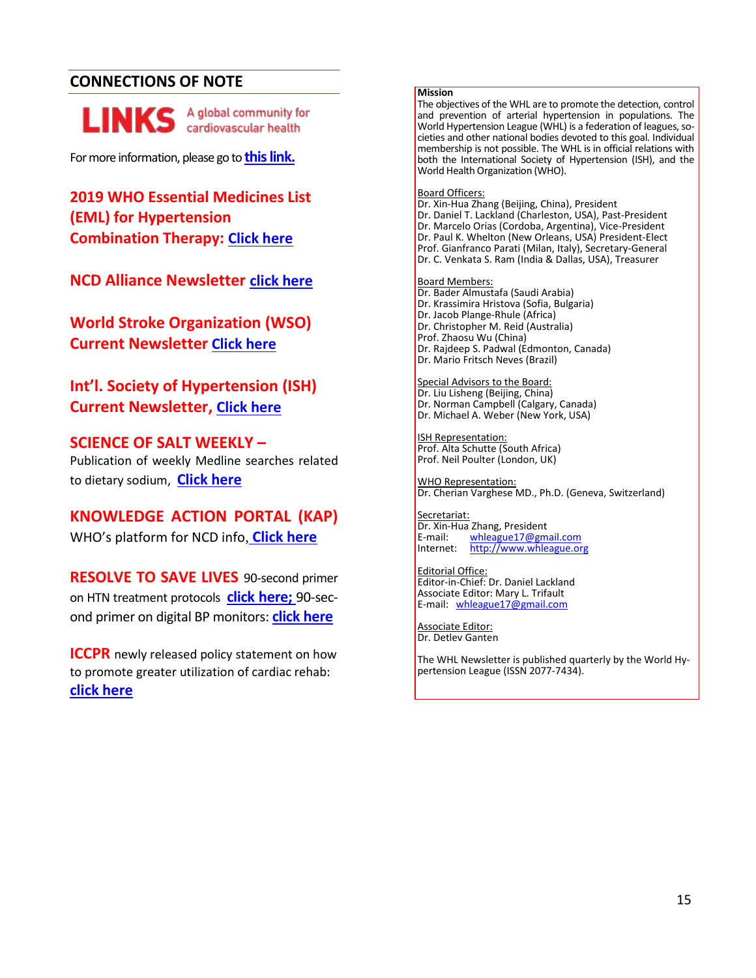## **CONNECTIONS OF NOTE**

A global community for **LINKS** cardiovascular health

For more information, please go to **[this link.](https://www.linkscommunity.org/)**

**2019 WHO Essential Medicines List (EML) for Hypertension Combination Therapy: [Click here](https://apps.who.int/iris/bitstream/handle/10665/325771/WHO-MVP-EMP-IAU-2019.06-eng.pdf?sequence=1&isAllowed=y)**

**NCD Alliance Newsletter [click here](https://ncdalliance.org/newsletters)**

**World Stroke Organization (WSO) Current Newsletter [Click here](https://www.world-stroke.org/news-and-blog/newsletters)**

**Int'l. Society of Hypertension (ISH) Current Newsletter, [Click here](https://ish-world.com/news/a/hypertensionnews/)**

#### **SCIENCE OF SALT WEEKLY –**

Publication of weekly Medline searches related to dietary sodium, **[Click here](https://www.whoccsaltreduction.org/portfolio/science-of-salt-weekly/)**

**KNOWLEDGE ACTION PORTAL (KAP)** WHO's platform for NCD info, **[Click here](https://www.knowledge-action-portal.com/)**

**RESOLVE TO SAVE LIVES** [90-second primer](https://www.youtube.com/watch?v=8ID2Rg0x29E)  on HTN [treatment protocols](https://www.youtube.com/watch?v=8ID2Rg0x29E) **[click here;](https://www.youtube.com/watch?v=8ID2Rg0x29E)** 90-second primer on digital BP monitors: **[click here](https://www.youtube.com/watch?v=vqhpbfg8U9E&feature=youtu.be)**

**ICCPR** newly released policy statement on how to promote greater utilization of cardiac rehab: **[click here](https://journals.scholarsportal.info/pdf/01675273/unassigned/nfp_ppuooccparps.xml)**

#### **Mission**

The objectives of the WHL are to promote the detection, control and prevention of arterial hypertension in populations. The World Hypertension League (WHL) is a federation of leagues, societies and other national bodies devoted to this goal. Individual membership is not possible. The WHL is in official relations with both the International Society of Hypertension (ISH), and the World Health Organization (WHO).

#### Board Officers:

Dr. Xin-Hua Zhang (Beijing, China), President Dr. Daniel T. Lackland (Charleston, USA), Past-President Dr. Marcelo Orias (Cordoba, Argentina), Vice-President Dr. Paul K. Whelton (New Orleans, USA) President-Elect Prof. Gianfranco Parati (Milan, Italy), Secretary-General Dr. C. Venkata S. Ram (India & Dallas, USA), Treasurer

Board Members:

Dr. Bader Almustafa (Saudi Arabia) Dr. Krassimira Hristova (Sofia, Bulgaria) Dr. Jacob Plange-Rhule (Africa) Dr. Christopher M. Reid (Australia) Prof. Zhaosu Wu (China) Dr. Rajdeep S. Padwal (Edmonton, Canada) Dr. Mario Fritsch Neves (Brazil)

Special Advisors to the Board: Dr. Liu Lisheng (Beijing, China) Dr. Norman Campbell (Calgary, Canada) Dr. Michael A. Weber (New York, USA)

ISH Representation: Prof. Alta Schutte (South Africa) Prof. Neil Poulter (London, UK)

WHO Representation: Dr. Cherian Varghese MD., Ph.D. (Geneva, Switzerland)

Secretariat: Dr. Xin-Hua Zhang, President<br>E-mail: whleague17@gm E-mail: [whleague17@gmail.com](mailto:whleague17@gmail.com)<br>Internet: http://www.whleague.or [http://www.whleague.org](http://www.whleague.org/)

Editorial Office: Editor-in-Chief: Dr. Daniel Lackland Associate Editor: Mary L. Trifault E-mail: [whleague17@gmail.com](mailto:whleague17@gmail.com)

Associate Editor: Dr. Detlev Ganten

The WHL Newsletter is published quarterly by the World Hypertension League (ISSN 2077-7434).